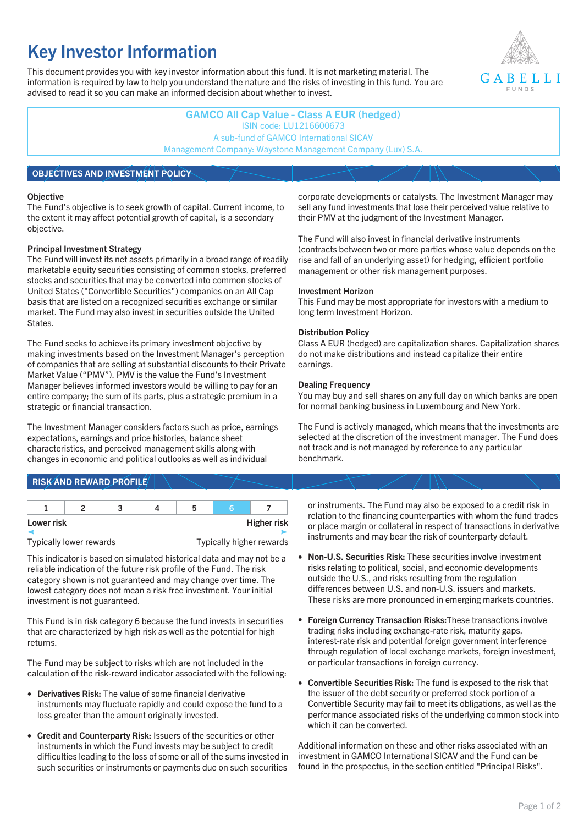# **Key Investor Information**

This document provides you with key investor information about this fund. It is not marketing material. The information is required by law to help you understand the nature and the risks of investing in this fund. You are advised to read it so you can make an informed decision about whether to invest.



**GAMCO All Cap Value - Class A EUR (hedged)** ISIN code: LU1216600673 A sub-fund of GAMCO International SICAV Management Company: Waystone Management Company (Lux) S.A.

# **OBJECTIVES AND INVESTMENT POLICY**

#### **Objective**

The Fund's objective is to seek growth of capital. Current income, to the extent it may affect potential growth of capital, is a secondary objective.

#### **Principal Investment Strategy**

The Fund will invest its net assets primarily in a broad range of readily marketable equity securities consisting of common stocks, preferred stocks and securities that may be converted into common stocks of United States ("Convertible Securities") companies on an All Cap basis that are listed on a recognized securities exchange or similar market. The Fund may also invest in securities outside the United States.

The Fund seeks to achieve its primary investment objective by making investments based on the Investment Manager's perception of companies that are selling at substantial discounts to their Private Market Value ("PMV"). PMV is the value the Fund's Investment Manager believes informed investors would be willing to pay for an entire company; the sum of its parts, plus a strategic premium in a strategic or financial transaction.

The Investment Manager considers factors such as price, earnings expectations, earnings and price histories, balance sheet characteristics, and perceived management skills along with changes in economic and political outlooks as well as individual

# **RISK AND REWARD PROFILE**

| Lower risk |  |  |  | <b>Higher risk</b> |
|------------|--|--|--|--------------------|

#### Typically lower rewards Typically higher rewards

This indicator is based on simulated historical data and may not be a reliable indication of the future risk profile of the Fund. The risk category shown is not guaranteed and may change over time. The lowest category does not mean a risk free investment. Your initial investment is not guaranteed.

This Fund is in risk category 6 because the fund invests in securities that are characterized by high risk as well as the potential for high returns.

The Fund may be subject to risks which are not included in the calculation of the risk-reward indicator associated with the following:

- **Derivatives Risk:** The value of some financial derivative instruments may fluctuate rapidly and could expose the fund to a loss greater than the amount originally invested.
- **Credit and Counterparty Risk:** Issuers of the securities or other instruments in which the Fund invests may be subject to credit difficulties leading to the loss of some or all of the sums invested in such securities or instruments or payments due on such securities

corporate developments or catalysts. The Investment Manager may sell any fund investments that lose their perceived value relative to their PMV at the judgment of the Investment Manager.

The Fund will also invest in financial derivative instruments (contracts between two or more parties whose value depends on the rise and fall of an underlying asset) for hedging, efficient portfolio management or other risk management purposes.

#### **Investment Horizon**

This Fund may be most appropriate for investors with a medium to long term Investment Horizon.

#### **Distribution Policy**

Class A EUR (hedged) are capitalization shares. Capitalization shares do not make distributions and instead capitalize their entire earnings.

#### **Dealing Frequency**

You may buy and sell shares on any full day on which banks are open for normal banking business in Luxembourg and New York.

The Fund is actively managed, which means that the investments are selected at the discretion of the investment manager. The Fund does not track and is not managed by reference to any particular benchmark.

or instruments. The Fund may also be exposed to a credit risk in relation to the financing counterparties with whom the fund trades or place margin or collateral in respect of transactions in derivative instruments and may bear the risk of counterparty default.

- **Non-U.S. Securities Risk:** These securities involve investment risks relating to political, social, and economic developments outside the U.S., and risks resulting from the regulation differences between U.S. and non-U.S. issuers and markets. These risks are more pronounced in emerging markets countries.
- **Foreign Currency Transaction Risks:**These transactions involve trading risks including exchange-rate risk, maturity gaps, interest-rate risk and potential foreign government interference through regulation of local exchange markets, foreign investment, or particular transactions in foreign currency.
- **Convertible Securities Risk:** The fund is exposed to the risk that the issuer of the debt security or preferred stock portion of a Convertible Security may fail to meet its obligations, as well as the performance associated risks of the underlying common stock into which it can be converted.

Additional information on these and other risks associated with an investment in GAMCO International SICAV and the Fund can be found in the prospectus, in the section entitled "Principal Risks".